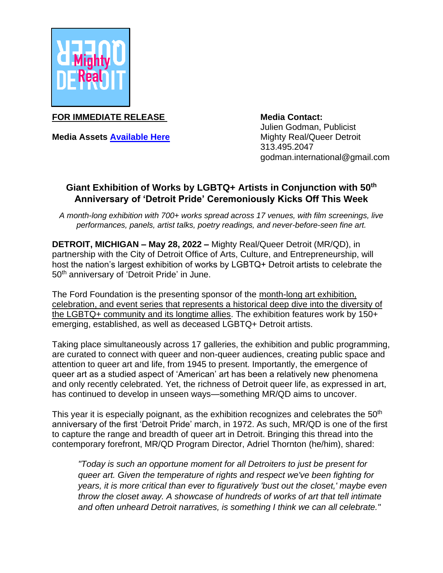

**FOR IMMEDIATE RELEASE** 

**Media Assets [Available Here](https://drive.google.com/drive/folders/1orTC2WkmdY_AfAHBz8NqyfUa3j1gO7aX?usp=sharing)**

**Media Contact:** Julien Godman, Publicist Mighty Real/Queer Detroit 313.495.2047 godman.international@gmail.com

# **Giant Exhibition of Works by LGBTQ+ Artists in Conjunction with 50th Anniversary of 'Detroit Pride' Ceremoniously Kicks Off This Week**

*A month-long exhibition with 700+ works spread across 17 venues, with film screenings, live performances, panels, artist talks, poetry readings, and never-before-seen fine art.* 

**DETROIT, MICHIGAN – May 28, 2022 –** Mighty Real/Queer Detroit (MR/QD), in partnership with the City of Detroit Office of Arts, Culture, and Entrepreneurship, will host the nation's largest exhibition of works by LGBTQ+ Detroit artists to celebrate the 50<sup>th</sup> anniversary of 'Detroit Pride' in June.

The Ford Foundation is the presenting sponsor of the month-long art exhibition, celebration, and event series that represents a historical deep dive into the diversity of the LGBTQ+ community and its longtime allies. The exhibition features work by 150+ emerging, established, as well as deceased LGBTQ+ Detroit artists.

Taking place simultaneously across 17 galleries, the exhibition and public programming, are curated to connect with queer and non-queer audiences, creating public space and attention to queer art and life, from 1945 to present. Importantly, the emergence of queer art as a studied aspect of 'American' art has been a relatively new phenomena and only recently celebrated. Yet, the richness of Detroit queer life, as expressed in art, has continued to develop in unseen ways—something MR/QD aims to uncover.

This year it is especially poignant, as the exhibition recognizes and celebrates the 50<sup>th</sup> anniversary of the first 'Detroit Pride' march, in 1972. As such, MR/QD is one of the first to capture the range and breadth of queer art in Detroit. Bringing this thread into the contemporary forefront, MR/QD Program Director, Adriel Thornton (he/him), shared:

*"Today is such an opportune moment for all Detroiters to just be present for queer art. Given the temperature of rights and respect we've been fighting for years, it is more critical than ever to figuratively 'bust out the closet,' maybe even throw the closet away. A showcase of hundreds of works of art that tell intimate and often unheard Detroit narratives, is something I think we can all celebrate."*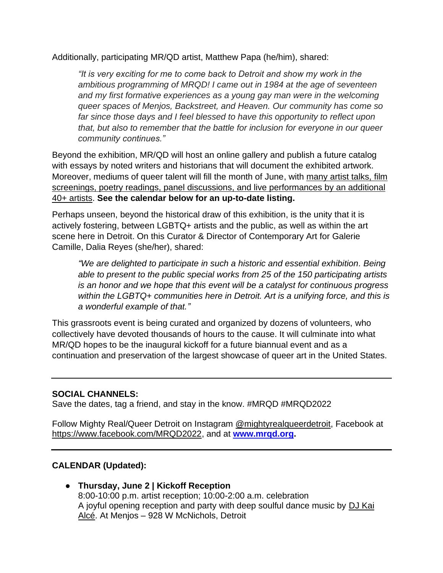Additionally, participating MR/QD artist, Matthew Papa (he/him), shared:

*"It is very exciting for me to come back to Detroit and show my work in the ambitious programming of MRQD! I came out in 1984 at the age of seventeen and my first formative experiences as a young gay man were in the welcoming queer spaces of Menjos, Backstreet, and Heaven. Our community has come so far since those days and I feel blessed to have this opportunity to reflect upon that, but also to remember that the battle for inclusion for everyone in our queer community continues."*

Beyond the exhibition, MR/QD will host an online gallery and publish a future catalog with essays by noted writers and historians that will document the exhibited artwork. Moreover, mediums of queer talent will fill the month of June, with many artist talks, film screenings, poetry readings, panel discussions, and live performances by an additional 40+ artists. **See the calendar below for an up-to-date listing.** 

Perhaps unseen, beyond the historical draw of this exhibition, is the unity that it is actively fostering, between LGBTQ+ artists and the public, as well as within the art scene here in Detroit. On this Curator & Director of Contemporary Art for Galerie Camille, Dalia Reyes (she/her), shared:

*"We are delighted to participate in such a historic and essential exhibition. Being able to present to the public special works from 25 of the 150 participating artists is an honor and we hope that this event will be a catalyst for continuous progress within the LGBTQ+ communities here in Detroit. Art is a unifying force, and this is a wonderful example of that."*

This grassroots event is being curated and organized by dozens of volunteers, who collectively have devoted thousands of hours to the cause. It will culminate into what MR/QD hopes to be the inaugural kickoff for a future biannual event and as a continuation and preservation of the largest showcase of queer art in the United States.

## **SOCIAL CHANNELS:**

Save the dates, tag a friend, and stay in the know. #MRQD #MRQD2022

Follow Mighty Real/Queer Detroit on Instagram [@mightyrealqueerdetroit,](https://www.instagram.com/mightyrealqueerdetroit/) Facebook at [https://www.facebook.com/MRQD2022,](https://www.facebook.com/MRQD2022) and at **[www.mrqd.org.](http://www.mrqd.org/)**

## **CALENDAR (Updated):**

**● Thursday, June 2 | Kickoff Reception** 8:00-10:00 p.m. artist reception; 10:00-2:00 a.m. celebration A joyful opening reception and party with deep soulful dance music by [DJ Kai](https://ndatl.com/about/)  [Alcé.](https://ndatl.com/about/) At Menjos – 928 W McNichols, Detroit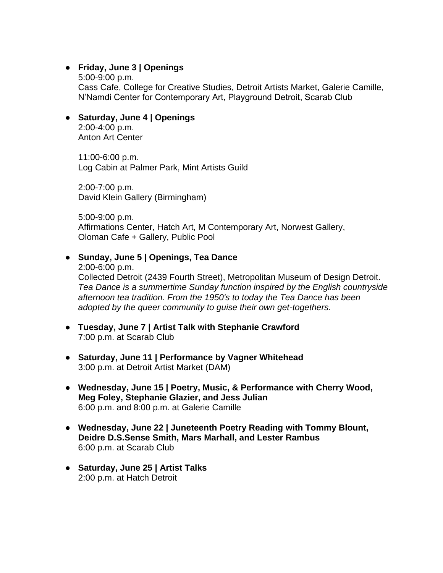## **● Friday, June 3 | Openings**

5:00-9:00 p.m. Cass Cafe, College for Creative Studies, Detroit Artists Market, Galerie Camille, N'Namdi Center for Contemporary Art, Playground Detroit, Scarab Club

## **● Saturday, June 4 | Openings**

2:00-4:00 p.m. Anton Art Center

11:00-6:00 p.m. Log Cabin at Palmer Park, Mint Artists Guild

2:00-7:00 p.m. David Klein Gallery (Birmingham)

5:00-9:00 p.m. Affirmations Center, Hatch Art, M Contemporary Art, Norwest Gallery, Oloman Cafe + Gallery, Public Pool

### **● Sunday, June 5 | Openings, Tea Dance**

2:00-6:00 p.m. Collected Detroit (2439 Fourth Street), Metropolitan Museum of Design Detroit. *Tea Dance is a summertime Sunday function inspired by the English countryside afternoon tea tradition. From the 1950's to today the Tea Dance has been adopted by the queer community to guise their own get-togethers.*

- **● Tuesday, June 7 | Artist Talk with Stephanie Crawford** 7:00 p.m. at Scarab Club
- **● Saturday, June 11 | Performance by Vagner Whitehead** 3:00 p.m. at Detroit Artist Market (DAM)
- **● Wednesday, June 15 | Poetry, Music, & Performance with Cherry Wood, Meg Foley, Stephanie Glazier, and Jess Julian** 6:00 p.m. and 8:00 p.m. at Galerie Camille
- **● Wednesday, June 22 | Juneteenth Poetry Reading with Tommy Blount, Deidre D.S.Sense Smith, Mars Marhall, and Lester Rambus** 6:00 p.m. at Scarab Club
- **● Saturday, June 25 | Artist Talks** 2:00 p.m. at Hatch Detroit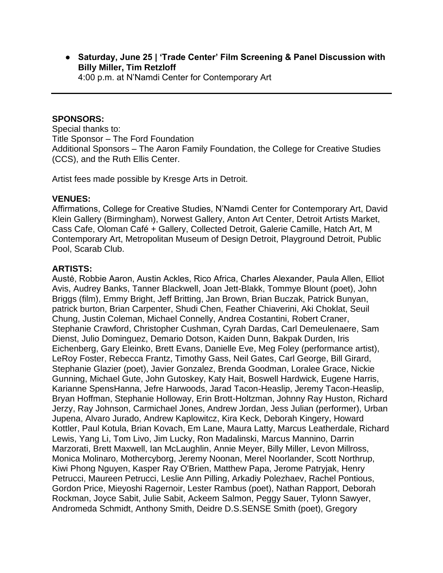**● Saturday, June 25 | 'Trade Center' Film Screening & Panel Discussion with Billy Miller, Tim Retzloff** 4:00 p.m. at N'Namdi Center for Contemporary Art

#### **SPONSORS:**

Special thanks to: Title Sponsor – The Ford Foundation Additional Sponsors – The Aaron Family Foundation, the College for Creative Studies (CCS), and the Ruth Ellis Center.

Artist fees made possible by Kresge Arts in Detroit.

#### **VENUES:**

Affirmations, College for Creative Studies, N'Namdi Center for Contemporary Art, David Klein Gallery (Birmingham), Norwest Gallery, Anton Art Center, Detroit Artists Market, Cass Cafe, Oloman Café + Gallery, Collected Detroit, Galerie Camille, Hatch Art, M Contemporary Art, Metropolitan Museum of Design Detroit, Playground Detroit, Public Pool, Scarab Club.

#### **ARTISTS:**

Austė, Robbie Aaron, Austin Ackles, Rico Africa, Charles Alexander, Paula Allen, Elliot Avis, Audrey Banks, Tanner Blackwell, Joan Jett-Blakk, Tommye Blount (poet), John Briggs (film), Emmy Bright, Jeff Britting, Jan Brown, Brian Buczak, Patrick Bunyan, patrick burton, Brian Carpenter, Shudi Chen, Feather Chiaverini, Aki Choklat, Seuil Chung, Justin Coleman, Michael Connelly, Andrea Costantini, Robert Craner, Stephanie Crawford, Christopher Cushman, Cyrah Dardas, Carl Demeulenaere, Sam Dienst, Julio Dominguez, Demario Dotson, Kaiden Dunn, Bakpak Durden, Iris Eichenberg, Gary Eleinko, Brett Evans, Danielle Eve, Meg Foley (performance artist), LeRoy Foster, Rebecca Frantz, Timothy Gass, Neil Gates, Carl George, Bill Girard, Stephanie Glazier (poet), Javier Gonzalez, Brenda Goodman, Loralee Grace, Nickie Gunning, Michael Gute, John Gutoskey, Katy Hait, Boswell Hardwick, Eugene Harris, Karianne SpensHanna, Jefre Harwoods, Jarad Tacon-Heaslip, Jeremy Tacon-Heaslip, Bryan Hoffman, Stephanie Holloway, Erin Brott-Holtzman, Johnny Ray Huston, Richard Jerzy, Ray Johnson, Carmichael Jones, Andrew Jordan, Jess Julian (performer), Urban Jupena, Alvaro Jurado, Andrew Kaplowitcz, Kira Keck, Deborah Kingery, Howard Kottler, Paul Kotula, Brian Kovach, Em Lane, Maura Latty, Marcus Leatherdale, Richard Lewis, Yang Li, Tom Livo, Jim Lucky, Ron Madalinski, Marcus Mannino, Darrin Marzorati, Brett Maxwell, Ian McLaughlin, Annie Meyer, Billy Miller, Levon Millross, Monica Molinaro, Mothercyborg, Jeremy Noonan, Merel Noorlander, Scott Northrup, Kiwi Phong Nguyen, Kasper Ray O'Brien, Matthew Papa, Jerome Patryjak, Henry Petrucci, Maureen Petrucci, Leslie Ann Pilling, Arkadiy Polezhaev, Rachel Pontious, Gordon Price, Mieyoshi Ragernoir, Lester Rambus (poet), Nathan Rapport, Deborah Rockman, Joyce Sabit, Julie Sabit, Ackeem Salmon, Peggy Sauer, Tylonn Sawyer, Andromeda Schmidt, Anthony Smith, Deidre D.S.SENSE Smith (poet), Gregory